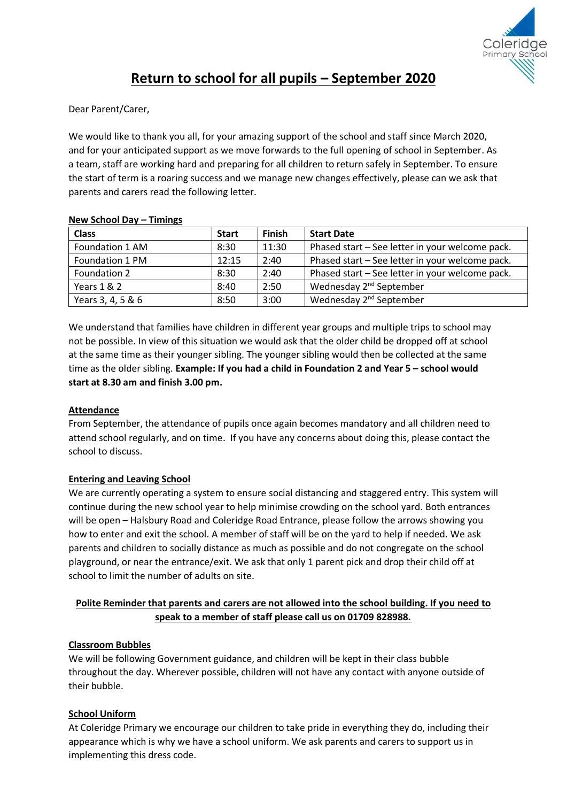

# **Return to school for all pupils – September 2020**

Dear Parent/Carer,

We would like to thank you all, for your amazing support of the school and staff since March 2020, and for your anticipated support as we move forwards to the full opening of school in September. As a team, staff are working hard and preparing for all children to return safely in September. To ensure the start of term is a roaring success and we manage new changes effectively, please can we ask that parents and carers read the following letter.

#### **New School Day – Timings**

| <b>Class</b>      | <b>Start</b> | <b>Finish</b> | <b>Start Date</b>                               |
|-------------------|--------------|---------------|-------------------------------------------------|
| Foundation 1 AM   | 8:30         | 11:30         | Phased start - See letter in your welcome pack. |
| Foundation 1 PM   | 12:15        | 2:40          | Phased start - See letter in your welcome pack. |
| Foundation 2      | 8:30         | 2:40          | Phased start - See letter in your welcome pack. |
| Years 1 & 2       | 8:40         | 2:50          | Wednesday 2 <sup>nd</sup> September             |
| Years 3, 4, 5 & 6 | 8:50         | 3:00          | Wednesday 2 <sup>nd</sup> September             |

We understand that families have children in different year groups and multiple trips to school may not be possible. In view of this situation we would ask that the older child be dropped off at school at the same time as their younger sibling. The younger sibling would then be collected at the same time as the older sibling. **Example: If you had a child in Foundation 2 and Year 5 – school would start at 8.30 am and finish 3.00 pm.**

# **Attendance**

From September, the attendance of pupils once again becomes mandatory and all children need to attend school regularly, and on time. If you have any concerns about doing this, please contact the school to discuss.

# **Entering and Leaving School**

We are currently operating a system to ensure social distancing and staggered entry. This system will continue during the new school year to help minimise crowding on the school yard. Both entrances will be open – Halsbury Road and Coleridge Road Entrance, please follow the arrows showing you how to enter and exit the school. A member of staff will be on the yard to help if needed. We ask parents and children to socially distance as much as possible and do not congregate on the school playground, or near the entrance/exit. We ask that only 1 parent pick and drop their child off at school to limit the number of adults on site.

# **Polite Reminder that parents and carers are not allowed into the school building. If you need to speak to a member of staff please call us on 01709 828988.**

# **Classroom Bubbles**

We will be following Government guidance, and children will be kept in their class bubble throughout the day. Wherever possible, children will not have any contact with anyone outside of their bubble.

# **School Uniform**

At Coleridge Primary we encourage our children to take pride in everything they do, including their appearance which is why we have a school uniform. We ask parents and carers to support us in implementing this dress code.